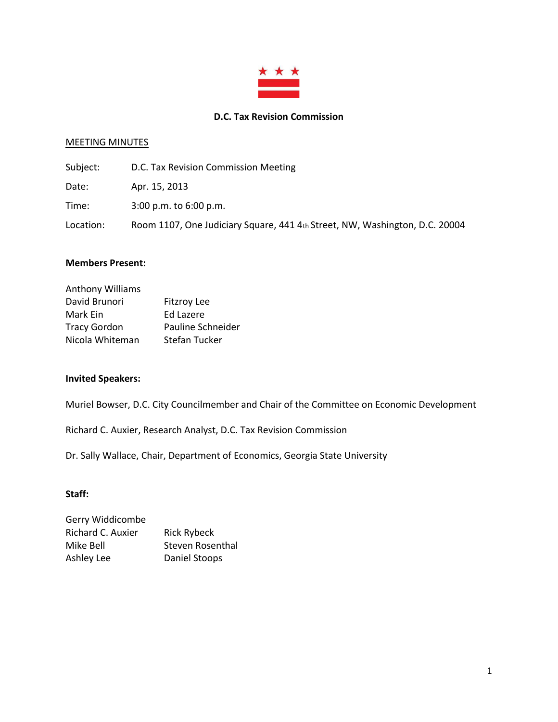

#### **D.C. Tax Revision Commission**

#### MEETING MINUTES

| Subject:  | D.C. Tax Revision Commission Meeting                                        |
|-----------|-----------------------------------------------------------------------------|
| Date:     | Apr. 15, 2013                                                               |
| Time:     | $3:00$ p.m. to $6:00$ p.m.                                                  |
| Location: | Room 1107, One Judiciary Square, 441 4th Street, NW, Washington, D.C. 20004 |

#### **Members Present:**

| <b>Anthony Williams</b> |                      |
|-------------------------|----------------------|
| David Brunori           | <b>Fitzroy Lee</b>   |
| Mark Ein                | Ed Lazere            |
| <b>Tracy Gordon</b>     | Pauline Schneider    |
| Nicola Whiteman         | <b>Stefan Tucker</b> |

## **Invited Speakers:**

Muriel Bowser, D.C. City Councilmember and Chair of the Committee on Economic Development

Richard C. Auxier, Research Analyst, D.C. Tax Revision Commission

Dr. Sally Wallace, Chair, Department of Economics, Georgia State University

#### **Staff:**

| Gerry Widdicombe  |                    |
|-------------------|--------------------|
| Richard C. Auxier | <b>Rick Rybeck</b> |
| Mike Bell         | Steven Rosenthal   |
| Ashley Lee        | Daniel Stoops      |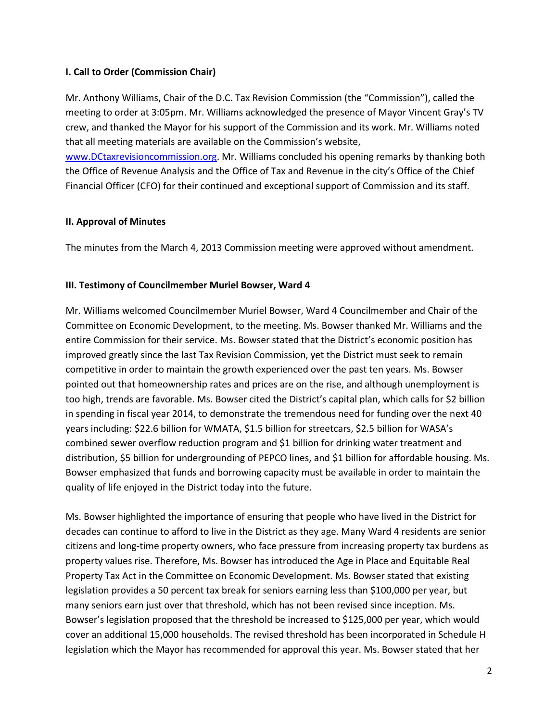### **I. Call to Order (Commission Chair)**

Mr. Anthony Williams, Chair of the D.C. Tax Revision Commission (the "Commission"), called the meeting to order at 3:05pm. Mr. Williams acknowledged the presence of Mayor Vincent Gray's TV crew, and thanked the Mayor for his support of the Commission and its work. Mr. Williams noted that all meeting materials are available on the Commission's website,

[www.DCtaxrevisioncommission.org.](http://www.dctaxrevisioncommission.org/) Mr. Williams concluded his opening remarks by thanking both the Office of Revenue Analysis and the Office of Tax and Revenue in the city's Office of the Chief Financial Officer (CFO) for their continued and exceptional support of Commission and its staff.

#### **II. Approval of Minutes**

The minutes from the March 4, 2013 Commission meeting were approved without amendment.

#### **III. Testimony of Councilmember Muriel Bowser, Ward 4**

Mr. Williams welcomed Councilmember Muriel Bowser, Ward 4 Councilmember and Chair of the Committee on Economic Development, to the meeting. Ms. Bowser thanked Mr. Williams and the entire Commission for their service. Ms. Bowser stated that the District's economic position has improved greatly since the last Tax Revision Commission, yet the District must seek to remain competitive in order to maintain the growth experienced over the past ten years. Ms. Bowser pointed out that homeownership rates and prices are on the rise, and although unemployment is too high, trends are favorable. Ms. Bowser cited the District's capital plan, which calls for \$2 billion in spending in fiscal year 2014, to demonstrate the tremendous need for funding over the next 40 years including: \$22.6 billion for WMATA, \$1.5 billion for streetcars, \$2.5 billion for WASA's combined sewer overflow reduction program and \$1 billion for drinking water treatment and distribution, \$5 billion for undergrounding of PEPCO lines, and \$1 billion for affordable housing. Ms. Bowser emphasized that funds and borrowing capacity must be available in order to maintain the quality of life enjoyed in the District today into the future.

Ms. Bowser highlighted the importance of ensuring that people who have lived in the District for decades can continue to afford to live in the District as they age. Many Ward 4 residents are senior citizens and long-time property owners, who face pressure from increasing property tax burdens as property values rise. Therefore, Ms. Bowser has introduced the Age in Place and Equitable Real Property Tax Act in the Committee on Economic Development. Ms. Bowser stated that existing legislation provides a 50 percent tax break for seniors earning less than \$100,000 per year, but many seniors earn just over that threshold, which has not been revised since inception. Ms. Bowser's legislation proposed that the threshold be increased to \$125,000 per year, which would cover an additional 15,000 households. The revised threshold has been incorporated in Schedule H legislation which the Mayor has recommended for approval this year. Ms. Bowser stated that her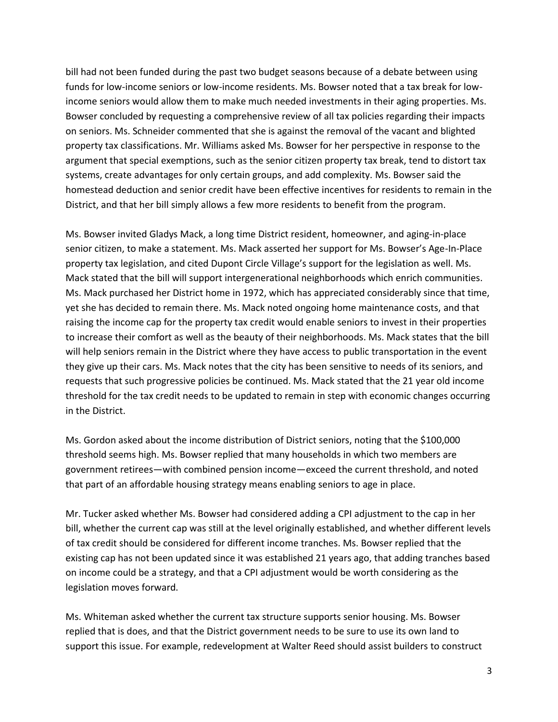bill had not been funded during the past two budget seasons because of a debate between using funds for low-income seniors or low-income residents. Ms. Bowser noted that a tax break for lowincome seniors would allow them to make much needed investments in their aging properties. Ms. Bowser concluded by requesting a comprehensive review of all tax policies regarding their impacts on seniors. Ms. Schneider commented that she is against the removal of the vacant and blighted property tax classifications. Mr. Williams asked Ms. Bowser for her perspective in response to the argument that special exemptions, such as the senior citizen property tax break, tend to distort tax systems, create advantages for only certain groups, and add complexity. Ms. Bowser said the homestead deduction and senior credit have been effective incentives for residents to remain in the District, and that her bill simply allows a few more residents to benefit from the program.

Ms. Bowser invited Gladys Mack, a long time District resident, homeowner, and aging-in-place senior citizen, to make a statement. Ms. Mack asserted her support for Ms. Bowser's Age-In-Place property tax legislation, and cited Dupont Circle Village's support for the legislation as well. Ms. Mack stated that the bill will support intergenerational neighborhoods which enrich communities. Ms. Mack purchased her District home in 1972, which has appreciated considerably since that time, yet she has decided to remain there. Ms. Mack noted ongoing home maintenance costs, and that raising the income cap for the property tax credit would enable seniors to invest in their properties to increase their comfort as well as the beauty of their neighborhoods. Ms. Mack states that the bill will help seniors remain in the District where they have access to public transportation in the event they give up their cars. Ms. Mack notes that the city has been sensitive to needs of its seniors, and requests that such progressive policies be continued. Ms. Mack stated that the 21 year old income threshold for the tax credit needs to be updated to remain in step with economic changes occurring in the District.

Ms. Gordon asked about the income distribution of District seniors, noting that the \$100,000 threshold seems high. Ms. Bowser replied that many households in which two members are government retirees—with combined pension income—exceed the current threshold, and noted that part of an affordable housing strategy means enabling seniors to age in place.

Mr. Tucker asked whether Ms. Bowser had considered adding a CPI adjustment to the cap in her bill, whether the current cap was still at the level originally established, and whether different levels of tax credit should be considered for different income tranches. Ms. Bowser replied that the existing cap has not been updated since it was established 21 years ago, that adding tranches based on income could be a strategy, and that a CPI adjustment would be worth considering as the legislation moves forward.

Ms. Whiteman asked whether the current tax structure supports senior housing. Ms. Bowser replied that is does, and that the District government needs to be sure to use its own land to support this issue. For example, redevelopment at Walter Reed should assist builders to construct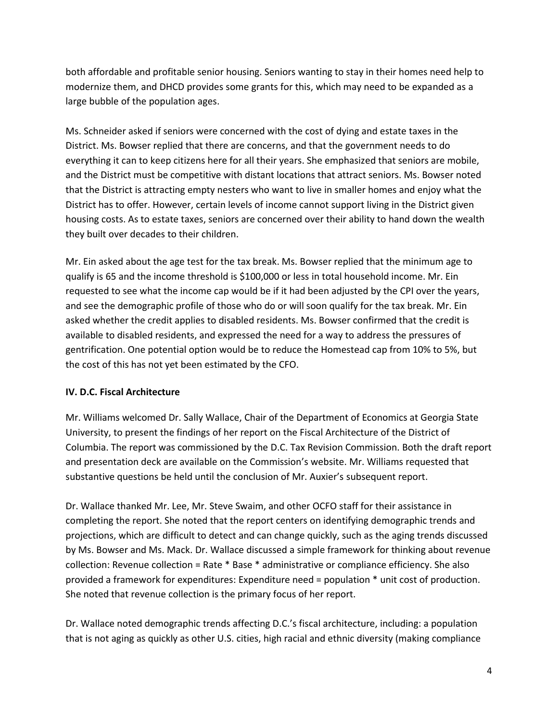both affordable and profitable senior housing. Seniors wanting to stay in their homes need help to modernize them, and DHCD provides some grants for this, which may need to be expanded as a large bubble of the population ages.

Ms. Schneider asked if seniors were concerned with the cost of dying and estate taxes in the District. Ms. Bowser replied that there are concerns, and that the government needs to do everything it can to keep citizens here for all their years. She emphasized that seniors are mobile, and the District must be competitive with distant locations that attract seniors. Ms. Bowser noted that the District is attracting empty nesters who want to live in smaller homes and enjoy what the District has to offer. However, certain levels of income cannot support living in the District given housing costs. As to estate taxes, seniors are concerned over their ability to hand down the wealth they built over decades to their children.

Mr. Ein asked about the age test for the tax break. Ms. Bowser replied that the minimum age to qualify is 65 and the income threshold is \$100,000 or less in total household income. Mr. Ein requested to see what the income cap would be if it had been adjusted by the CPI over the years, and see the demographic profile of those who do or will soon qualify for the tax break. Mr. Ein asked whether the credit applies to disabled residents. Ms. Bowser confirmed that the credit is available to disabled residents, and expressed the need for a way to address the pressures of gentrification. One potential option would be to reduce the Homestead cap from 10% to 5%, but the cost of this has not yet been estimated by the CFO.

# **IV. D.C. Fiscal Architecture**

Mr. Williams welcomed Dr. Sally Wallace, Chair of the Department of Economics at Georgia State University, to present the findings of her report on the Fiscal Architecture of the District of Columbia. The report was commissioned by the D.C. Tax Revision Commission. Both the draft report and presentation deck are available on the Commission's website. Mr. Williams requested that substantive questions be held until the conclusion of Mr. Auxier's subsequent report.

Dr. Wallace thanked Mr. Lee, Mr. Steve Swaim, and other OCFO staff for their assistance in completing the report. She noted that the report centers on identifying demographic trends and projections, which are difficult to detect and can change quickly, such as the aging trends discussed by Ms. Bowser and Ms. Mack. Dr. Wallace discussed a simple framework for thinking about revenue collection: Revenue collection = Rate \* Base \* administrative or compliance efficiency. She also provided a framework for expenditures: Expenditure need = population \* unit cost of production. She noted that revenue collection is the primary focus of her report.

Dr. Wallace noted demographic trends affecting D.C.'s fiscal architecture, including: a population that is not aging as quickly as other U.S. cities, high racial and ethnic diversity (making compliance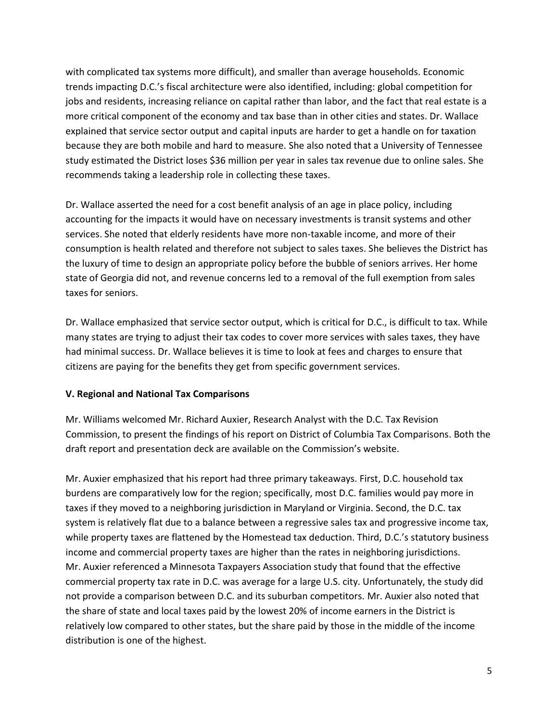with complicated tax systems more difficult), and smaller than average households. Economic trends impacting D.C.'s fiscal architecture were also identified, including: global competition for jobs and residents, increasing reliance on capital rather than labor, and the fact that real estate is a more critical component of the economy and tax base than in other cities and states. Dr. Wallace explained that service sector output and capital inputs are harder to get a handle on for taxation because they are both mobile and hard to measure. She also noted that a University of Tennessee study estimated the District loses \$36 million per year in sales tax revenue due to online sales. She recommends taking a leadership role in collecting these taxes.

Dr. Wallace asserted the need for a cost benefit analysis of an age in place policy, including accounting for the impacts it would have on necessary investments is transit systems and other services. She noted that elderly residents have more non-taxable income, and more of their consumption is health related and therefore not subject to sales taxes. She believes the District has the luxury of time to design an appropriate policy before the bubble of seniors arrives. Her home state of Georgia did not, and revenue concerns led to a removal of the full exemption from sales taxes for seniors.

Dr. Wallace emphasized that service sector output, which is critical for D.C., is difficult to tax. While many states are trying to adjust their tax codes to cover more services with sales taxes, they have had minimal success. Dr. Wallace believes it is time to look at fees and charges to ensure that citizens are paying for the benefits they get from specific government services.

### **V. Regional and National Tax Comparisons**

Mr. Williams welcomed Mr. Richard Auxier, Research Analyst with the D.C. Tax Revision Commission, to present the findings of his report on District of Columbia Tax Comparisons. Both the draft report and presentation deck are available on the Commission's website.

Mr. Auxier emphasized that his report had three primary takeaways. First, D.C. household tax burdens are comparatively low for the region; specifically, most D.C. families would pay more in taxes if they moved to a neighboring jurisdiction in Maryland or Virginia. Second, the D.C. tax system is relatively flat due to a balance between a regressive sales tax and progressive income tax, while property taxes are flattened by the Homestead tax deduction. Third, D.C.'s statutory business income and commercial property taxes are higher than the rates in neighboring jurisdictions. Mr. Auxier referenced a Minnesota Taxpayers Association study that found that the effective commercial property tax rate in D.C. was average for a large U.S. city. Unfortunately, the study did not provide a comparison between D.C. and its suburban competitors. Mr. Auxier also noted that the share of state and local taxes paid by the lowest 20% of income earners in the District is relatively low compared to other states, but the share paid by those in the middle of the income distribution is one of the highest.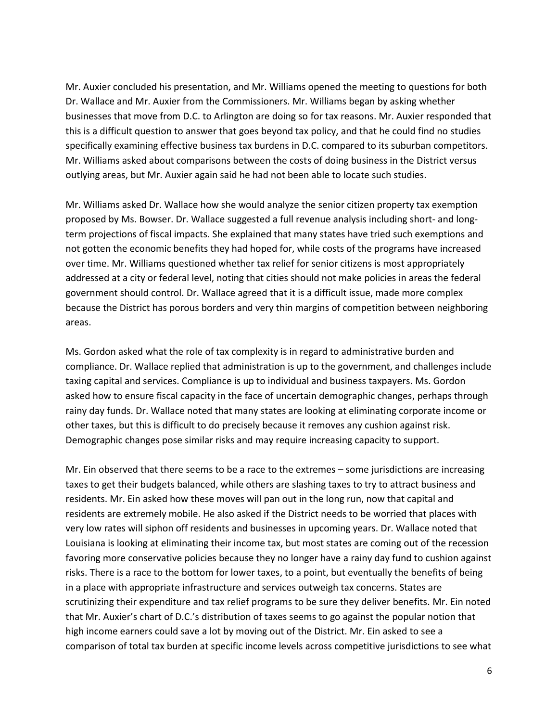Mr. Auxier concluded his presentation, and Mr. Williams opened the meeting to questions for both Dr. Wallace and Mr. Auxier from the Commissioners. Mr. Williams began by asking whether businesses that move from D.C. to Arlington are doing so for tax reasons. Mr. Auxier responded that this is a difficult question to answer that goes beyond tax policy, and that he could find no studies specifically examining effective business tax burdens in D.C. compared to its suburban competitors. Mr. Williams asked about comparisons between the costs of doing business in the District versus outlying areas, but Mr. Auxier again said he had not been able to locate such studies.

Mr. Williams asked Dr. Wallace how she would analyze the senior citizen property tax exemption proposed by Ms. Bowser. Dr. Wallace suggested a full revenue analysis including short- and longterm projections of fiscal impacts. She explained that many states have tried such exemptions and not gotten the economic benefits they had hoped for, while costs of the programs have increased over time. Mr. Williams questioned whether tax relief for senior citizens is most appropriately addressed at a city or federal level, noting that cities should not make policies in areas the federal government should control. Dr. Wallace agreed that it is a difficult issue, made more complex because the District has porous borders and very thin margins of competition between neighboring areas.

Ms. Gordon asked what the role of tax complexity is in regard to administrative burden and compliance. Dr. Wallace replied that administration is up to the government, and challenges include taxing capital and services. Compliance is up to individual and business taxpayers. Ms. Gordon asked how to ensure fiscal capacity in the face of uncertain demographic changes, perhaps through rainy day funds. Dr. Wallace noted that many states are looking at eliminating corporate income or other taxes, but this is difficult to do precisely because it removes any cushion against risk. Demographic changes pose similar risks and may require increasing capacity to support.

Mr. Ein observed that there seems to be a race to the extremes – some jurisdictions are increasing taxes to get their budgets balanced, while others are slashing taxes to try to attract business and residents. Mr. Ein asked how these moves will pan out in the long run, now that capital and residents are extremely mobile. He also asked if the District needs to be worried that places with very low rates will siphon off residents and businesses in upcoming years. Dr. Wallace noted that Louisiana is looking at eliminating their income tax, but most states are coming out of the recession favoring more conservative policies because they no longer have a rainy day fund to cushion against risks. There is a race to the bottom for lower taxes, to a point, but eventually the benefits of being in a place with appropriate infrastructure and services outweigh tax concerns. States are scrutinizing their expenditure and tax relief programs to be sure they deliver benefits. Mr. Ein noted that Mr. Auxier's chart of D.C.'s distribution of taxes seems to go against the popular notion that high income earners could save a lot by moving out of the District. Mr. Ein asked to see a comparison of total tax burden at specific income levels across competitive jurisdictions to see what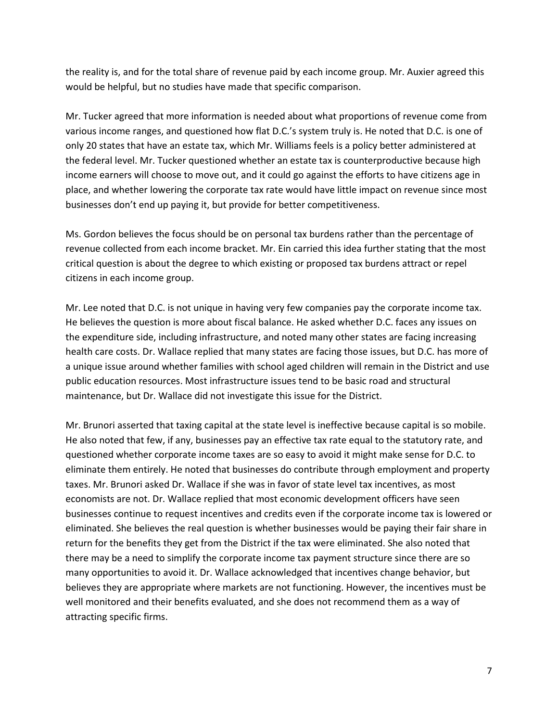the reality is, and for the total share of revenue paid by each income group. Mr. Auxier agreed this would be helpful, but no studies have made that specific comparison.

Mr. Tucker agreed that more information is needed about what proportions of revenue come from various income ranges, and questioned how flat D.C.'s system truly is. He noted that D.C. is one of only 20 states that have an estate tax, which Mr. Williams feels is a policy better administered at the federal level. Mr. Tucker questioned whether an estate tax is counterproductive because high income earners will choose to move out, and it could go against the efforts to have citizens age in place, and whether lowering the corporate tax rate would have little impact on revenue since most businesses don't end up paying it, but provide for better competitiveness.

Ms. Gordon believes the focus should be on personal tax burdens rather than the percentage of revenue collected from each income bracket. Mr. Ein carried this idea further stating that the most critical question is about the degree to which existing or proposed tax burdens attract or repel citizens in each income group.

Mr. Lee noted that D.C. is not unique in having very few companies pay the corporate income tax. He believes the question is more about fiscal balance. He asked whether D.C. faces any issues on the expenditure side, including infrastructure, and noted many other states are facing increasing health care costs. Dr. Wallace replied that many states are facing those issues, but D.C. has more of a unique issue around whether families with school aged children will remain in the District and use public education resources. Most infrastructure issues tend to be basic road and structural maintenance, but Dr. Wallace did not investigate this issue for the District.

Mr. Brunori asserted that taxing capital at the state level is ineffective because capital is so mobile. He also noted that few, if any, businesses pay an effective tax rate equal to the statutory rate, and questioned whether corporate income taxes are so easy to avoid it might make sense for D.C. to eliminate them entirely. He noted that businesses do contribute through employment and property taxes. Mr. Brunori asked Dr. Wallace if she was in favor of state level tax incentives, as most economists are not. Dr. Wallace replied that most economic development officers have seen businesses continue to request incentives and credits even if the corporate income tax is lowered or eliminated. She believes the real question is whether businesses would be paying their fair share in return for the benefits they get from the District if the tax were eliminated. She also noted that there may be a need to simplify the corporate income tax payment structure since there are so many opportunities to avoid it. Dr. Wallace acknowledged that incentives change behavior, but believes they are appropriate where markets are not functioning. However, the incentives must be well monitored and their benefits evaluated, and she does not recommend them as a way of attracting specific firms.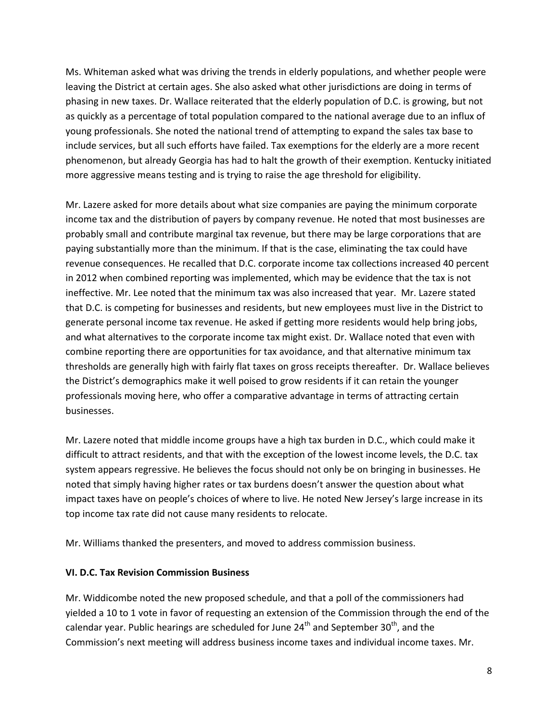Ms. Whiteman asked what was driving the trends in elderly populations, and whether people were leaving the District at certain ages. She also asked what other jurisdictions are doing in terms of phasing in new taxes. Dr. Wallace reiterated that the elderly population of D.C. is growing, but not as quickly as a percentage of total population compared to the national average due to an influx of young professionals. She noted the national trend of attempting to expand the sales tax base to include services, but all such efforts have failed. Tax exemptions for the elderly are a more recent phenomenon, but already Georgia has had to halt the growth of their exemption. Kentucky initiated more aggressive means testing and is trying to raise the age threshold for eligibility.

Mr. Lazere asked for more details about what size companies are paying the minimum corporate income tax and the distribution of payers by company revenue. He noted that most businesses are probably small and contribute marginal tax revenue, but there may be large corporations that are paying substantially more than the minimum. If that is the case, eliminating the tax could have revenue consequences. He recalled that D.C. corporate income tax collections increased 40 percent in 2012 when combined reporting was implemented, which may be evidence that the tax is not ineffective. Mr. Lee noted that the minimum tax was also increased that year. Mr. Lazere stated that D.C. is competing for businesses and residents, but new employees must live in the District to generate personal income tax revenue. He asked if getting more residents would help bring jobs, and what alternatives to the corporate income tax might exist. Dr. Wallace noted that even with combine reporting there are opportunities for tax avoidance, and that alternative minimum tax thresholds are generally high with fairly flat taxes on gross receipts thereafter. Dr. Wallace believes the District's demographics make it well poised to grow residents if it can retain the younger professionals moving here, who offer a comparative advantage in terms of attracting certain businesses.

Mr. Lazere noted that middle income groups have a high tax burden in D.C., which could make it difficult to attract residents, and that with the exception of the lowest income levels, the D.C. tax system appears regressive. He believes the focus should not only be on bringing in businesses. He noted that simply having higher rates or tax burdens doesn't answer the question about what impact taxes have on people's choices of where to live. He noted New Jersey's large increase in its top income tax rate did not cause many residents to relocate.

Mr. Williams thanked the presenters, and moved to address commission business.

# **VI. D.C. Tax Revision Commission Business**

Mr. Widdicombe noted the new proposed schedule, and that a poll of the commissioners had yielded a 10 to 1 vote in favor of requesting an extension of the Commission through the end of the calendar year. Public hearings are scheduled for June  $24<sup>th</sup>$  and September  $30<sup>th</sup>$ , and the Commission's next meeting will address business income taxes and individual income taxes. Mr.